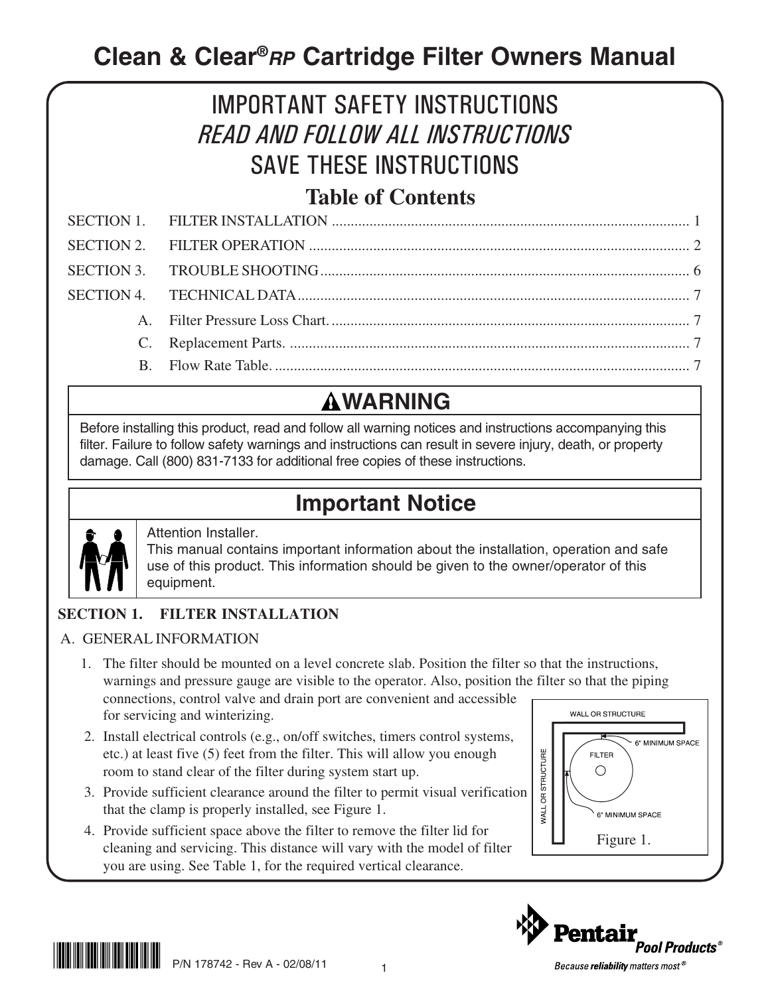## **Clean & Clear®RP Cartridge Filter Owners Manual**

# IMPORTANT SAFETY INSTRUCTIONS READ AND FOLLOW ALL INSTRUCTIONS SAVE THESE INSTRUCTIONS

## **Table of Contents**

## **WARNING**

Before installing this product, read and follow all warning notices and instructions accompanying this filter. Failure to follow safety warnings and instructions can result in severe injury, death, or property damage. Call (800) 831-7133 for additional free copies of these instructions.

## **Important Notice**



### Attention Installer.

This manual contains important information about the installation, operation and safe use of this product. This information should be given to the owner/operator of this equipment.

### **SECTION 1. FILTER INSTALLATION**

### A. GENERAL INFORMATION

- 1. The filter should be mounted on a level concrete slab. Position the filter so that the instructions, warnings and pressure gauge are visible to the operator. Also, position the filter so that the piping connections, control valve and drain port are convenient and accessible WALL OR STRUCTURE for servicing and winterizing.
- 2. Install electrical controls (e.g., on/off switches, timers control systems, etc.) at least five (5) feet from the filter. This will allow you enough room to stand clear of the filter during system start up.
- 3. Provide sufficient clearance around the filter to permit visual verification that the clamp is properly installed, see Figure 1.
- 4. Provide sufficient space above the filter to remove the filter lid for cleaning and servicing. This distance will vary with the model of filter you are using. See Table 1, for the required vertical clearance.





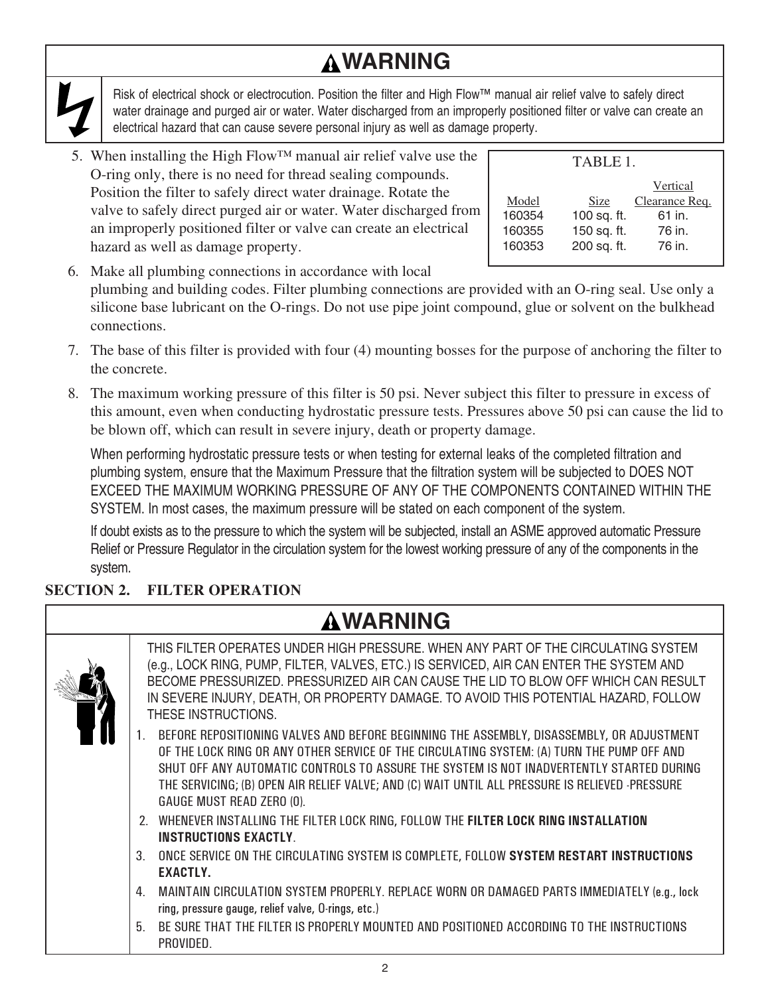## **WARNING**

Risk of electrical shock or electrocution. Position the filter and High Flow™ manual air relief valve to safely direct water drainage and purged air or water. Water discharged from an improperly positioned filter or valve can create an electrical hazard that can cause severe personal injury as well as damage property.

5. When installing the High Flow<sup>™</sup> manual air relief valve use the O-ring only, there is no need for thread sealing compounds. Position the filter to safely direct water drainage. Rotate the valve to safely direct purged air or water. Water discharged from an improperly positioned filter or valve can create an electrical hazard as well as damage property.

|        | TABLE 1     |                |  |  |  |  |
|--------|-------------|----------------|--|--|--|--|
|        |             | Vertical       |  |  |  |  |
| Model  | Size        | Clearance Req. |  |  |  |  |
| 160354 | 100 sq. ft. | 61 in.         |  |  |  |  |
| 160355 | 150 sq. ft. | 76 in.         |  |  |  |  |
| 160353 | 200 sq. ft. | 76 in.         |  |  |  |  |

- 6. Make all plumbing connections in accordance with local plumbing and building codes. Filter plumbing connections are provided with an O-ring seal. Use only a silicone base lubricant on the O-rings. Do not use pipe joint compound, glue or solvent on the bulkhead connections.
- 7. The base of this filter is provided with four (4) mounting bosses for the purpose of anchoring the filter to the concrete.
- 8. The maximum working pressure of this filter is 50 psi. Never subject this filter to pressure in excess of this amount, even when conducting hydrostatic pressure tests. Pressures above 50 psi can cause the lid to be blown off, which can result in severe injury, death or property damage.

When performing hydrostatic pressure tests or when testing for external leaks of the completed filtration and plumbing system, ensure that the Maximum Pressure that the filtration system will be subjected to DOES NOT EXCEED THE MAXIMUM WORKING PRESSURE OF ANY OF THE COMPONENTS CONTAINED WITHIN THE SYSTEM. In most cases, the maximum pressure will be stated on each component of the system.

If doubt exists as to the pressure to which the system will be subjected, install an ASME approved automatic Pressure Relief or Pressure Regulator in the circulation system for the lowest working pressure of any of the components in the system.

### **SECTION 2. FILTER OPERATION**

|  | <b>AWARNING</b>                                                                                                                                                                                                                                                                                                                                                                                                     |
|--|---------------------------------------------------------------------------------------------------------------------------------------------------------------------------------------------------------------------------------------------------------------------------------------------------------------------------------------------------------------------------------------------------------------------|
|  | THIS FILTER OPERATES UNDER HIGH PRESSURE. WHEN ANY PART OF THE CIRCULATING SYSTEM<br>(e.g., LOCK RING, PUMP, FILTER, VALVES, ETC.) IS SERVICED, AIR CAN ENTER THE SYSTEM AND<br>BECOME PRESSURIZED. PRESSURIZED AIR CAN CAUSE THE LID TO BLOW OFF WHICH CAN RESULT<br>IN SEVERE INJURY, DEATH, OR PROPERTY DAMAGE. TO AVOID THIS POTENTIAL HAZARD, FOLLOW<br>THESE INSTRUCTIONS.                                    |
|  | BEFORE REPOSITIONING VALVES AND BEFORE BEGINNING THE ASSEMBLY, DISASSEMBLY, OR ADJUSTMENT<br>OF THE LOCK RING OR ANY OTHER SERVICE OF THE CIRCULATING SYSTEM: (A) TURN THE PUMP OFF AND<br>SHUT OFF ANY AUTOMATIC CONTROLS TO ASSURE THE SYSTEM IS NOT INADVERTENTLY STARTED DURING<br>THE SERVICING; (B) OPEN AIR RELIEF VALVE; AND (C) WAIT UNTIL ALL PRESSURE IS RELIEVED -PRESSURE<br>GAUGE MUST READ ZERO (0). |
|  | 2. WHENEVER INSTALLING THE FILTER LOCK RING, FOLLOW THE FILTER LOCK RING INSTALLATION<br><b>INSTRUCTIONS EXACTLY</b>                                                                                                                                                                                                                                                                                                |
|  | ONCE SERVICE ON THE CIRCULATING SYSTEM IS COMPLETE, FOLLOW SYSTEM RESTART INSTRUCTIONS<br>3.<br><b>EXACTLY.</b>                                                                                                                                                                                                                                                                                                     |
|  | MAINTAIN CIRCULATION SYSTEM PROPERLY. REPLACE WORN OR DAMAGED PARTS IMMEDIATELY (e.g., lock<br>4.<br>ring, pressure gauge, relief valve, O-rings, etc.)                                                                                                                                                                                                                                                             |
|  | 5<br>BE SURE THAT THE FILTER IS PROPERLY MOUNTED AND POSITIONED ACCORDING TO THE INSTRUCTIONS<br>PROVIDED.                                                                                                                                                                                                                                                                                                          |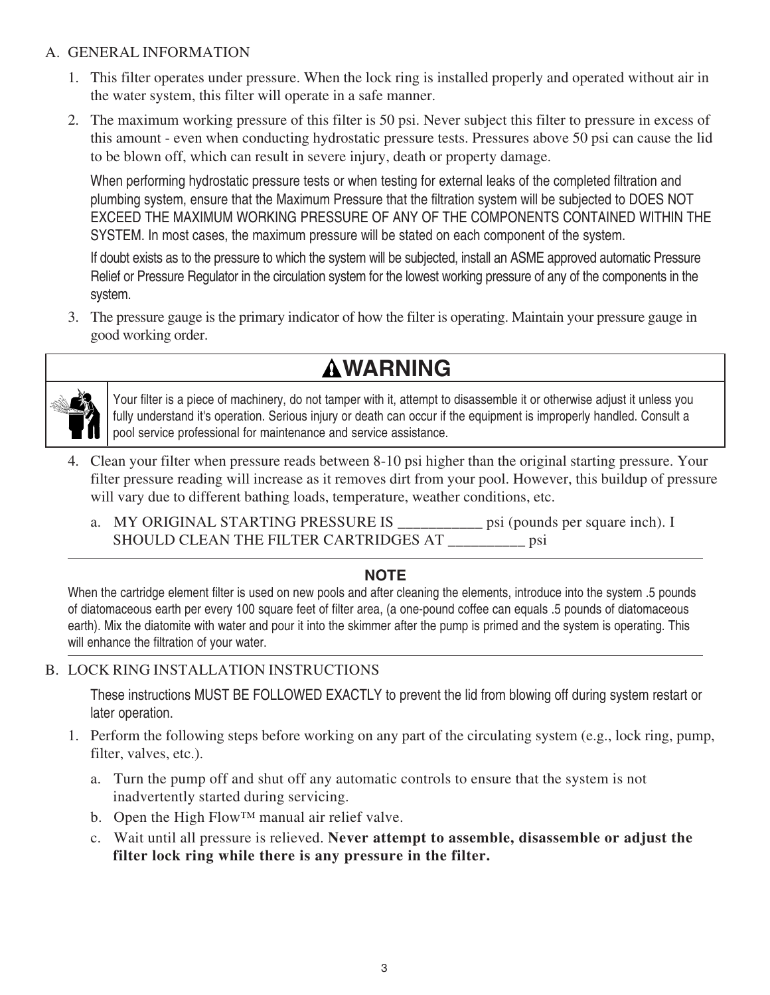#### A. GENERAL INFORMATION

- 1. This filter operates under pressure. When the lock ring is installed properly and operated without air in the water system, this filter will operate in a safe manner.
- 2. The maximum working pressure of this filter is 50 psi. Never subject this filter to pressure in excess of this amount - even when conducting hydrostatic pressure tests. Pressures above 50 psi can cause the lid to be blown off, which can result in severe injury, death or property damage.

When performing hydrostatic pressure tests or when testing for external leaks of the completed filtration and plumbing system, ensure that the Maximum Pressure that the filtration system will be subjected to DOES NOT EXCEED THE MAXIMUM WORKING PRESSURE OF ANY OF THE COMPONENTS CONTAINED WITHIN THE SYSTEM. In most cases, the maximum pressure will be stated on each component of the system.

If doubt exists as to the pressure to which the system will be subjected, install an ASME approved automatic Pressure Relief or Pressure Regulator in the circulation system for the lowest working pressure of any of the components in the system.

3. The pressure gauge is the primary indicator of how the filter is operating. Maintain your pressure gauge in good working order.

## **WARNING**



Your filter is a piece of machinery, do not tamper with it, attempt to disassemble it or otherwise adjust it unless you fully understand it's operation. Serious injury or death can occur if the equipment is improperly handled. Consult a pool service professional for maintenance and service assistance.

- 4. Clean your filter when pressure reads between 8-10 psi higher than the original starting pressure. Your filter pressure reading will increase as it removes dirt from your pool. However, this buildup of pressure will vary due to different bathing loads, temperature, weather conditions, etc.
	- a. MY ORIGINAL STARTING PRESSURE IS \_\_\_\_\_\_\_\_\_\_\_ psi (pounds per square inch). I SHOULD CLEAN THE FILTER CARTRIDGES AT \_\_\_\_\_\_\_\_\_\_ psi

### **NOTE**

When the cartridge element filter is used on new pools and after cleaning the elements, introduce into the system .5 pounds of diatomaceous earth per every 100 square feet of filter area, (a one-pound coffee can equals .5 pounds of diatomaceous earth). Mix the diatomite with water and pour it into the skimmer after the pump is primed and the system is operating. This will enhance the filtration of your water.

### B. LOCK RING INSTALLATION INSTRUCTIONS

These instructions MUST BE FOLLOWED EXACTLY to prevent the lid from blowing off during system restart or later operation.

- 1. Perform the following steps before working on any part of the circulating system (e.g., lock ring, pump, filter, valves, etc.).
	- a. Turn the pump off and shut off any automatic controls to ensure that the system is not inadvertently started during servicing.
	- b. Open the High Flow™ manual air relief valve.
	- c. Wait until all pressure is relieved. **Never attempt to assemble, disassemble or adjust the filter lock ring while there is any pressure in the filter.**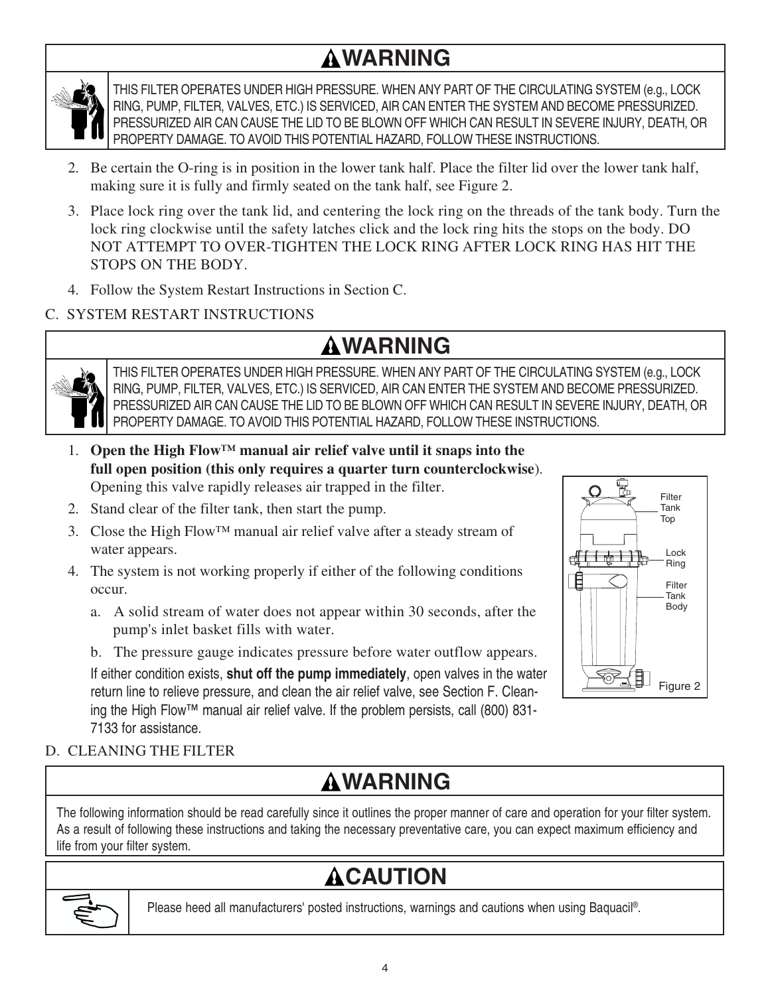## **WARNING**



THIS FILTER OPERATES UNDER HIGH PRESSURE. WHEN ANY PART OF THE CIRCULATING SYSTEM (e.g., LOCK RING, PUMP, FILTER, VALVES, ETC.) IS SERVICED, AIR CAN ENTER THE SYSTEM AND BECOME PRESSURIZED. PRESSURIZED AIR CAN CAUSE THE LID TO BE BLOWN OFF WHICH CAN RESULT IN SEVERE INJURY, DEATH, OR PROPERTY DAMAGE. TO AVOID THIS POTENTIAL HAZARD, FOLLOW THESE INSTRUCTIONS.

- 2. Be certain the O-ring is in position in the lower tank half. Place the filter lid over the lower tank half, making sure it is fully and firmly seated on the tank half, see Figure 2.
- 3. Place lock ring over the tank lid, and centering the lock ring on the threads of the tank body. Turn the lock ring clockwise until the safety latches click and the lock ring hits the stops on the body. DO NOT ATTEMPT TO OVER-TIGHTEN THE LOCK RING AFTER LOCK RING HAS HIT THE STOPS ON THE BODY.
- 4. Follow the System Restart Instructions in Section C.

### C. SYSTEM RESTART INSTRUCTIONS

## **WARNING**



THIS FILTER OPERATES UNDER HIGH PRESSURE. WHEN ANY PART OF THE CIRCULATING SYSTEM (e.g., LOCK RING, PUMP, FILTER, VALVES, ETC.) IS SERVICED, AIR CAN ENTER THE SYSTEM AND BECOME PRESSURIZED. PRESSURIZED AIR CAN CAUSE THE LID TO BE BLOWN OFF WHICH CAN RESULT IN SEVERE INJURY, DEATH, OR PROPERTY DAMAGE. TO AVOID THIS POTENTIAL HAZARD, FOLLOW THESE INSTRUCTIONS.

- 1. **Open the High Flow™ manual air relief valve until it snaps into the full open position (this only requires a quarter turn counterclockwise**). Opening this valve rapidly releases air trapped in the filter.
- 2. Stand clear of the filter tank, then start the pump.
- 3. Close the High Flow™ manual air relief valve after a steady stream of water appears.
- 4. The system is not working properly if either of the following conditions occur.
	- a. A solid stream of water does not appear within 30 seconds, after the pump's inlet basket fills with water.
	- b. The pressure gauge indicates pressure before water outflow appears.

If either condition exists, **shut off the pump immediately**, open valves in the water return line to relieve pressure, and clean the air relief valve, see Section F. Cleaning the High Flow™ manual air relief valve. If the problem persists, call (800) 831- 7133 for assistance.



### D. CLEANING THE FILTER

## **WARNING**

The following information should be read carefully since it outlines the proper manner of care and operation for your filter system. As a result of following these instructions and taking the necessary preventative care, you can expect maximum efficiency and life from your filter system.

# **ACAUTION**



Please heed all manufacturers' posted instructions, warnings and cautions when using Baquacil®.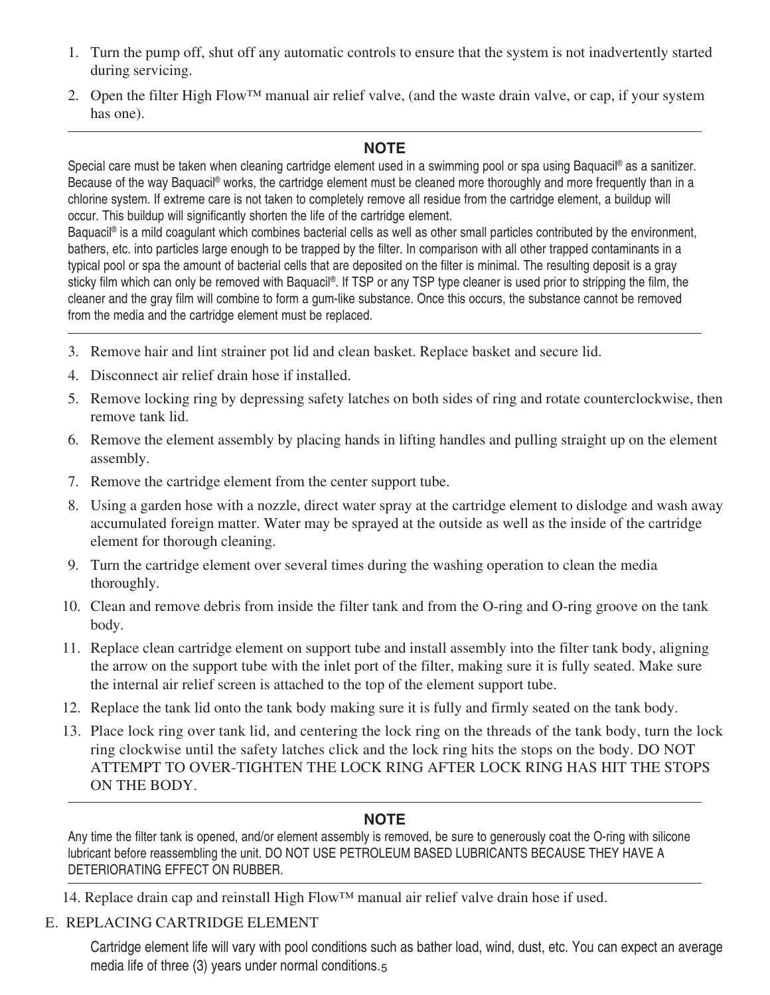- 1. Turn the pump off, shut off any automatic controls to ensure that the system is not inadvertently started during servicing.
- 2. Open the filter High Flow™ manual air relief valve, (and the waste drain valve, or cap, if your system has one).

### **NOTE**

Special care must be taken when cleaning cartridge element used in a swimming pool or spa using Baquacil® as a sanitizer. Because of the way Baquacil<sup>®</sup> works, the cartridge element must be cleaned more thoroughly and more frequently than in a chlorine system. If extreme care is not taken to completely remove all residue from the cartridge element, a buildup will occur. This buildup will significantly shorten the life of the cartridge element.

Baquacil<sup>®</sup> is a mild coagulant which combines bacterial cells as well as other small particles contributed by the environment, bathers, etc. into particles large enough to be trapped by the filter. In comparison with all other trapped contaminants in a typical pool or spa the amount of bacterial cells that are deposited on the filter is minimal. The resulting deposit is a gray sticky film which can only be removed with Baquacil®. If TSP or any TSP type cleaner is used prior to stripping the film, the cleaner and the gray film will combine to form a gum-like substance. Once this occurs, the substance cannot be removed from the media and the cartridge element must be replaced.

- 3. Remove hair and lint strainer pot lid and clean basket. Replace basket and secure lid.
- 4. Disconnect air relief drain hose if installed.
- 5. Remove locking ring by depressing safety latches on both sides of ring and rotate counterclockwise, then remove tank lid.
- 6. Remove the element assembly by placing hands in lifting handles and pulling straight up on the element assembly.
- 7. Remove the cartridge element from the center support tube.
- 8. Using a garden hose with a nozzle, direct water spray at the cartridge element to dislodge and wash away accumulated foreign matter. Water may be sprayed at the outside as well as the inside of the cartridge element for thorough cleaning.
- 9. Turn the cartridge element over several times during the washing operation to clean the media thoroughly.
- 10. Clean and remove debris from inside the filter tank and from the O-ring and O-ring groove on the tank body.
- 11. Replace clean cartridge element on support tube and install assembly into the filter tank body, aligning the arrow on the support tube with the inlet port of the filter, making sure it is fully seated. Make sure the internal air relief screen is attached to the top of the element support tube.
- 12. Replace the tank lid onto the tank body making sure it is fully and firmly seated on the tank body.
- 13. Place lock ring over tank lid, and centering the lock ring on the threads of the tank body, turn the lock ring clockwise until the safety latches click and the lock ring hits the stops on the body. DO NOT ATTEMPT TO OVER-TIGHTEN THE LOCK RING AFTER LOCK RING HAS HIT THE STOPS ON THE BODY.

### **NOTE**

Any time the filter tank is opened, and/or element assembly is removed, be sure to generously coat the O-ring with silicone lubricant before reassembling the unit. DO NOT USE PETROLEUM BASED LUBRICANTS BECAUSE THEY HAVE A DETERIORATING EFFECT ON RUBBER.

14. Replace drain cap and reinstall High Flow™ manual air relief valve drain hose if used.

### E. REPLACING CARTRIDGE ELEMENT

media life of three (3) years under normal conditions. $_5$ Cartridge element life will vary with pool conditions such as bather load, wind, dust, etc. You can expect an average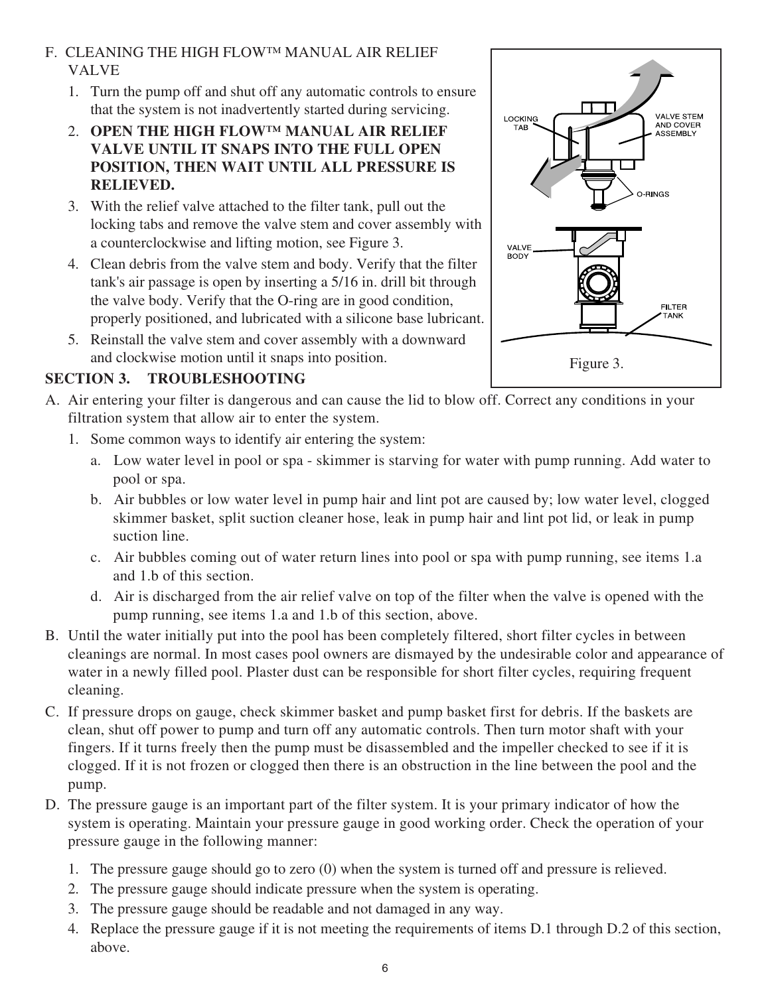### F. CLEANING THE HIGH FLOW™ MANUAL AIR RELIEF VALVE

- 1. Turn the pump off and shut off any automatic controls to ensure that the system is not inadvertently started during servicing.
- 2. **OPEN THE HIGH FLOW™ MANUAL AIR RELIEF VALVE UNTIL IT SNAPS INTO THE FULL OPEN POSITION, THEN WAIT UNTIL ALL PRESSURE IS RELIEVED.**
- 3. With the relief valve attached to the filter tank, pull out the locking tabs and remove the valve stem and cover assembly with a counterclockwise and lifting motion, see Figure 3.
- 4. Clean debris from the valve stem and body. Verify that the filter tank's air passage is open by inserting a 5/16 in. drill bit through the valve body. Verify that the O-ring are in good condition, properly positioned, and lubricated with a silicone base lubricant.
- 5. Reinstall the valve stem and cover assembly with a downward and clockwise motion until it snaps into position.

### **SECTION 3. TROUBLESHOOTING**

- A. Air entering your filter is dangerous and can cause the lid to blow off. Correct any conditions in your filtration system that allow air to enter the system.
	- 1. Some common ways to identify air entering the system:
		- a. Low water level in pool or spa skimmer is starving for water with pump running. Add water to pool or spa.
		- b. Air bubbles or low water level in pump hair and lint pot are caused by; low water level, clogged skimmer basket, split suction cleaner hose, leak in pump hair and lint pot lid, or leak in pump suction line.
		- c. Air bubbles coming out of water return lines into pool or spa with pump running, see items 1.a and 1.b of this section.
		- d. Air is discharged from the air relief valve on top of the filter when the valve is opened with the pump running, see items 1.a and 1.b of this section, above.
- B. Until the water initially put into the pool has been completely filtered, short filter cycles in between cleanings are normal. In most cases pool owners are dismayed by the undesirable color and appearance of water in a newly filled pool. Plaster dust can be responsible for short filter cycles, requiring frequent cleaning.
- C. If pressure drops on gauge, check skimmer basket and pump basket first for debris. If the baskets are clean, shut off power to pump and turn off any automatic controls. Then turn motor shaft with your fingers. If it turns freely then the pump must be disassembled and the impeller checked to see if it is clogged. If it is not frozen or clogged then there is an obstruction in the line between the pool and the pump.
- D. The pressure gauge is an important part of the filter system. It is your primary indicator of how the system is operating. Maintain your pressure gauge in good working order. Check the operation of your pressure gauge in the following manner:
	- 1. The pressure gauge should go to zero (0) when the system is turned off and pressure is relieved.
	- 2. The pressure gauge should indicate pressure when the system is operating.
	- 3. The pressure gauge should be readable and not damaged in any way.
	- 4. Replace the pressure gauge if it is not meeting the requirements of items D.1 through D.2 of this section, above.

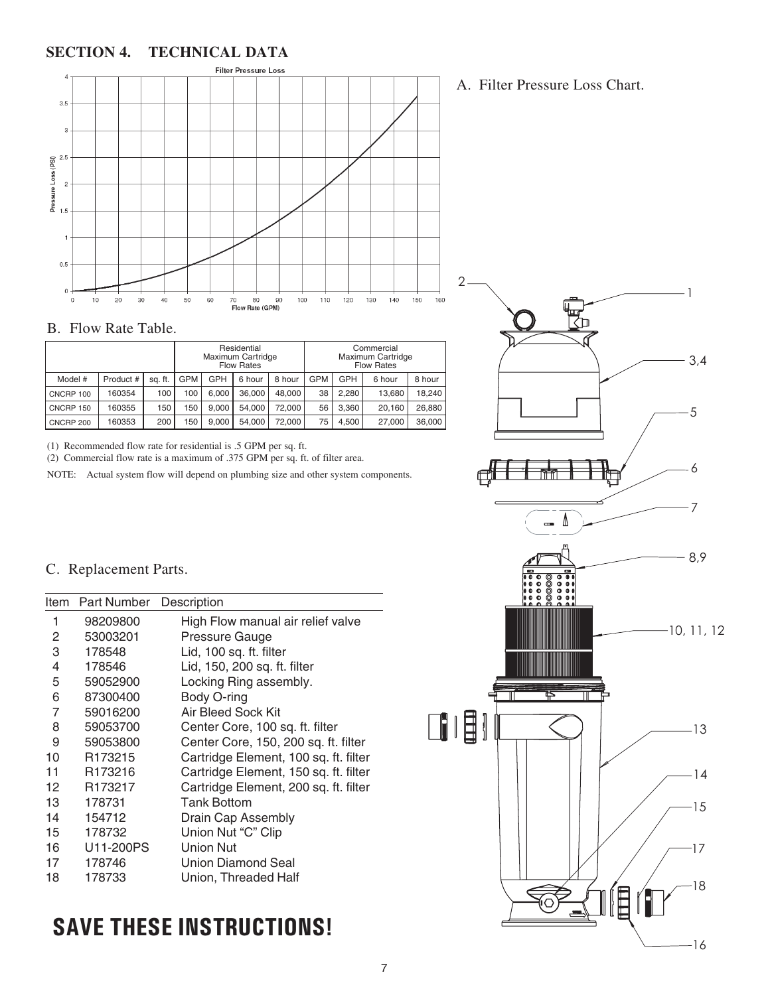#### **SECTION 4. TECHNICAL DATA**



#### B. Flow Rate Table.

|           |           |         |            |       | Residential<br>Maximum Cartridge<br><b>Flow Rates</b> |        |            |       | Commercial<br>Maximum Cartridge<br><b>Flow Rates</b> |        |
|-----------|-----------|---------|------------|-------|-------------------------------------------------------|--------|------------|-------|------------------------------------------------------|--------|
| Model #   | Product # | sa. ft. | <b>GPM</b> | GPH   | 6 hour                                                | 8 hour | <b>GPM</b> | GPH   | 6 hour                                               | 8 hour |
| CNCRP 100 | 160354    | 100     | 100        | 6.000 | 36,000                                                | 48.000 | 38         | 2.280 | 13.680                                               | 18.240 |
| CNCRP 150 | 160355    | 150     | 150        | 9.000 | 54.000                                                | 72.000 | 56         | 3.360 | 20.160                                               | 26.880 |
| CNCRP 200 | 160353    | 200     | 150        | 9.000 | 54.000                                                | 72.000 | 75         | 4.500 | 27,000                                               | 36,000 |

(1) Recommended flow rate for residential is .5 GPM per sq. ft.

(2) Commercial flow rate is a maximum of .375 GPM per sq. ft. of filter area.

NOTE: Actual system flow will depend on plumbing size and other system components.

#### C. Replacement Parts.

| Item | <b>Part Number</b>  | Description                           |
|------|---------------------|---------------------------------------|
| 1    | 98209800            | High Flow manual air relief valve     |
| 2    | 53003201            | Pressure Gauge                        |
| 3    | 178548              | Lid, 100 sq. ft. filter               |
| 4    | 178546              | Lid, 150, 200 sq. ft. filter          |
| 5    | 59052900            | Locking Ring assembly.                |
| 6    | 87300400            | Body O-ring                           |
| 7    | 59016200            | <b>Air Bleed Sock Kit</b>             |
| 8    | 59053700            | Center Core, 100 sq. ft. filter       |
| 9    | 59053800            | Center Core, 150, 200 sq. ft. filter  |
| 10   | R <sub>173215</sub> | Cartridge Element, 100 sq. ft. filter |
| 11   | R <sub>173216</sub> | Cartridge Element, 150 sq. ft. filter |
| 12   | R173217             | Cartridge Element, 200 sq. ft. filter |
| 13   | 178731              | <b>Tank Bottom</b>                    |
| 14   | 154712              | Drain Cap Assembly                    |
| 15   | 178732              | Union Nut "C" Clip                    |
| 16   | U11-200PS           | <b>Union Nut</b>                      |
| 17   | 178746              | Union Diamond Seal                    |
| 18   | 178733              | Union, Threaded Half                  |

## SAVE THESE INSTRUCTIONS!



1

### A. Filter Pressure Loss Chart.